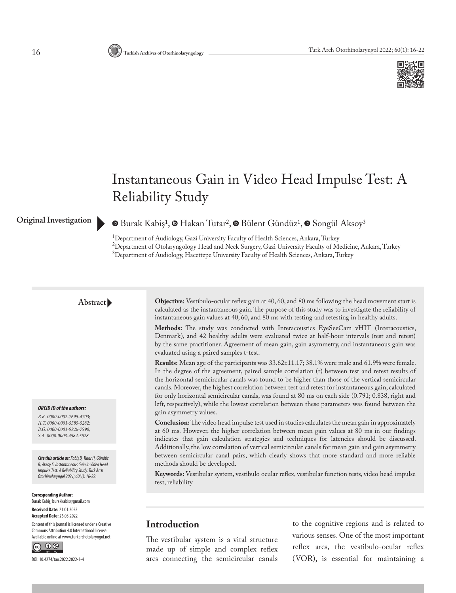

# Instantaneous Gain in Video Head Impulse Test: A Reliability Study

**OriginalInvestigation** [B](https://orcid.org/0000-0002-7695-4703)urak Kabiş<sup>1</sup>[,](https://orcid.org/0000-0001-9826-7990)  $\bullet$  Hakan Tutar<sup>2</sup>,  $\bullet$  Bülent Gündüz<sup>1</sup>,  $\bullet$  Songül Aksoy<sup>3</sup>

<sup>1</sup>Department of Audiology, Gazi University Faculty of Health Sciences, Ankara, Turkey 2 Department of Otolaryngology Head and Neck Surgery, Gazi University Faculty of Medicine, Ankara, Turkey 3 Department of Audiology, Hacettepe University Faculty of Health Sciences, Ankara, Turkey

#### **Abstract**

#### *ORCID ID of the authors:*

*B.K. 0000-0002-7695-4703; H.T. 0000-0001-5585-5282; B.G. 0000-0001-9826-7990; S.A. 0000-0003-4584-5528.*

*Cite this article as: Kabiş B, Tutar H, Gündüz B, Aksoy S. Instantaneous Gain in Video Head Impulse Test: A Reliability Study. Turk Arch Otorhinolaryngol 2021; 60(1): 16-22.*

**Corresponding Author:**  Burak Kabiş; burakkabis@gmail.com **Received Date:** 21.01.2022

**Accepted Date:** 26.03.2022 Content of this journal is licensed under a Creative

Commons Attribution 4.0 International License. Available online at www.turkarchotolaryngol.net



DOI: 10.4274/tao.2022.2022-1-4

**Objective:** Vestibulo-ocular reflex gain at 40, 60, and 80 ms following the head movement start is calculated as the instantaneous gain. The purpose of this study was to investigate the reliability of instantaneous gain values at 40, 60, and 80 ms with testing and retesting in healthy adults.

**Methods:** The study was conducted with Interacoustics EyeSeeCam vHIT (Interacoustics, Denmark), and 42 healthy adults were evaluated twice at half-hour intervals (test and retest) by the same practitioner. Agreement of mean gain, gain asymmetry, and instantaneous gain was evaluated using a paired samples t-test.

**Results:** Mean age of the participants was 33.62±11.17; 38.1% were male and 61.9% were female. In the degree of the agreement, paired sample correlation (r) between test and retest results of the horizontal semicircular canals was found to be higher than those of the vertical semicircular canals. Moreover, the highest correlation between test and retest for instantaneous gain, calculated for only horizontal semicircular canals, was found at 80 ms on each side (0.791; 0.838, right and left, respectively), while the lowest correlation between these parameters was found between the gain asymmetry values.

**Conclusion:** The video head impulse test used in studies calculates the mean gain in approximately at 60 ms. However, the higher correlation between mean gain values at 80 ms in our findings indicates that gain calculation strategies and techniques for latencies should be discussed. Additionally, the low correlation of vertical semicircular canals for mean gain and gain asymmetry between semicircular canal pairs, which clearly shows that more standard and more reliable methods should be developed.

**Keywords:** Vestibular system, vestibulo ocular reflex, vestibular function tests, video head impulse test, reliability

### **Introduction**

The vestibular system is a vital structure made up of simple and complex reflex arcs connecting the semicircular canals to the cognitive regions and is related to various senses. One of the most important reflex arcs, the vestibulo-ocular reflex (VOR), is essential for maintaining a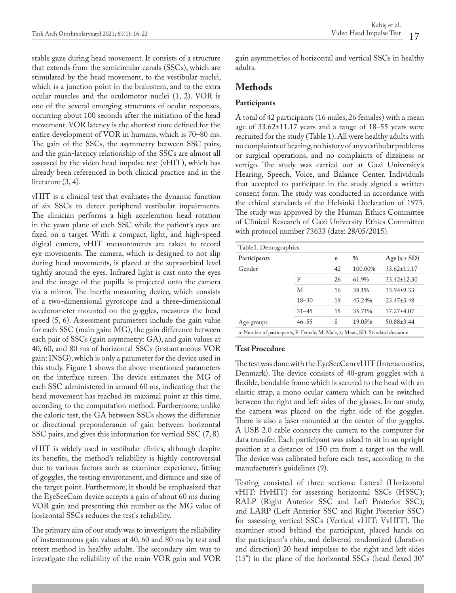stable gaze during head movement. It consists of a structure that extends from the semicircular canals (SSCs), which are stimulated by the head movement, to the vestibular nuclei, which is a junction point in the brainstem, and to the extra ocular muscles and the oculomotor nuclei (1, 2). VOR is one of the several emerging structures of ocular responses, occurring about 100 seconds after the initiation of the head movement. VOR latency is the shortest time defined for the entire development of VOR in humans, which is 70–80 ms. The gain of the SSCs, the asymmetry between SSC pairs, and the gain-latency relationship of the SSCs are almost all assessed by the video head impulse test (vHIT), which has already been referenced in both clinical practice and in the literature (3, 4).

vHIT is a clinical test that evaluates the dynamic function of six SSCs to detect peripheral vestibular impairments. The clinician performs a high acceleration head rotation in the yawn plane of each SSC while the patient's eyes are fixed on a target. With a compact, light, and high-speed digital camera, vHIT measurements are taken to record eye movements. The camera, which is designed to not slip during head movements, is placed at the supraorbital level tightly around the eyes. Infrared light is cast onto the eyes and the image of the pupilla is projected onto the camera via a mirror. The inertia measuring device, which consists of a two-dimensional gyroscope and a three-dimensional accelerometer mounted on the goggles, measures the head speed (5, 6). Assessment parameters include the gain value for each SSC (main gain: MG), the gain difference between each pair of SSCs (gain asymmetry: GA), and gain values at 40, 60, and 80 ms of horizontal SSCs (instantaneous VOR gain: INSG), which is only a parameter for the device used in this study. Figure 1 shows the above-mentioned parameters on the interface screen. The device estimates the MG of each SSC administered in around 60 ms, indicating that the head movement has reached its maximal point at this time, according to the computation method. Furthermore, unlike the caloric test, the GA between SSCs shows the difference or directional preponderance of gain between horizontal SSC pairs, and gives this information for vertical SSC (7, 8).

vHIT is widely used in vestibular clinics, although despite its benefits, the method's reliability is highly controversial due to various factors such as examiner experience, fitting of goggles, the testing environment, and distance and size of the target point. Furthermore, it should be emphasized that the EyeSeeCam device accepts a gain of about 60 ms during VOR gain and presenting this number as the MG value of horizontal SSCs reduces the test's reliability.

The primary aim of our study was to investigate the reliability of instantaneous gain values at 40, 60 and 80 ms by test and retest method in healthy adults. The secondary aim was to investigate the reliability of the main VOR gain and VOR

gain asymmetries of horizontal and vertical SSCs in healthy adults.

# **Methods**

#### **Participants**

A total of 42 participants (16 males, 26 females) with a mean age of 33.62±11.17 years and a range of 18–55 years were recruited for the study (Table 1). All were healthy adults with no complaints of hearing, no history of any vestibular problems or surgical operations, and no complaints of dizziness or vertigo. The study was carried out at Gazi University's Hearing, Speech, Voice, and Balance Center. Individuals that accepted to participate in the study signed a written consent form. The study was conducted in accordance with the ethical standards of the Helsinki Declaration of 1975. The study was approved by the Human Ethics Committee of Clinical Research of Gazi University Ethics Committee with protocol number 73633 (date: 28/05/2015).

| Table1. Demographics                                                                         |           |    |               |                            |  |  |
|----------------------------------------------------------------------------------------------|-----------|----|---------------|----------------------------|--|--|
|                                                                                              |           |    |               |                            |  |  |
| Participants                                                                                 |           | n  | $\frac{0}{0}$ | $Age(\overline{x} \pm SD)$ |  |  |
| Gender                                                                                       |           | 42 | 100.00%       | $33.62 \pm 11.17$          |  |  |
|                                                                                              | F         | 26 | 61.9%         | $33.42 \pm 12.30$          |  |  |
|                                                                                              | М         | 16 | 38.1%         | $33.94 \pm 9.33$           |  |  |
|                                                                                              | $18 - 30$ | 19 | 45.24%        | $23.47 \pm 3.48$           |  |  |
|                                                                                              | $31 - 45$ | 15 | 35.71%        | $37.27 + 4.07$             |  |  |
| Age groups                                                                                   | $46 - 55$ | 8  | 19.05%        | $50.88 \pm 3.44$           |  |  |
| n: Number of participants, F: Female, M: Male, $\overline{x}$ : Mean, SD: Standard deviation |           |    |               |                            |  |  |

#### **Test Procedure**

The test was done with the EyeSeeCam vHIT (Interacoustics, Denmark). The device consists of 40-gram goggles with a flexible, bendable frame which is secured to the head with an elastic strap, a mono ocular camera which can be switched between the right and left sides of the glasses. In our study, the camera was placed on the right side of the goggles. There is also a laser mounted at the center of the goggles. A USB 2.0 cable connects the camera to the computer for data transfer. Each participant was asked to sit in an upright position at a distance of 150 cm from a target on the wall. The device was calibrated before each test, according to the manufacturer's guidelines (9).

Testing consisted of three sections: Lateral (Horizontal vHIT: HvHIT) for assessing horizontal SSCs (HSSC); RALP (Right Anterior SSC and Left Posterior SSC); and LARP (Left Anterior SSC and Right Posterior SSC) for assessing vertical SSCs (Vertical vHIT: VvHIT). The examiner stood behind the participant, placed hands on the participant's chin, and delivered randomized (duration and direction) 20 head impulses to the right and left sides (15°) in the plane of the horizontal SSCs (head flexed 30°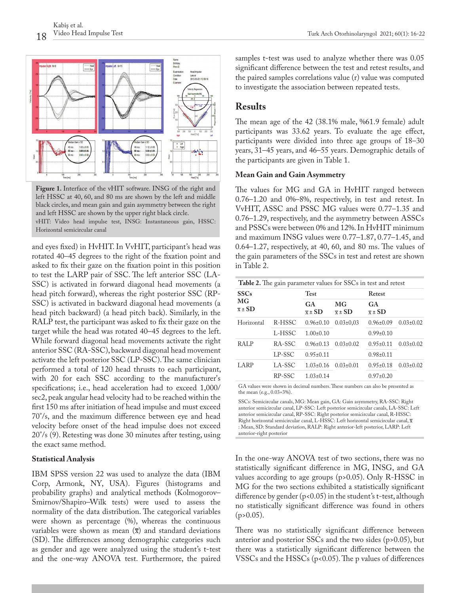

**Figure 1.** Interface of the vHIT software. INSG of the right and left HSSC at 40, 60, and 80 ms are shown by the left and middle black circles, and mean gain and gain asymmetry between the right and left HSSC are shown by the upper right black circle. vHIT: Video head impulse test, INSG: Instantaneous gain, HSSC:

Horizontal semicircular canal

and eyes fixed) in HvHIT. In VvHIT, participant's head was rotated 40–45 degrees to the right of the fixation point and asked to fix their gaze on the fixation point in this position to test the LARP pair of SSC. The left anterior SSC (LA-SSC) is activated in forward diagonal head movements (a head pitch forward), whereas the right posterior SSC (RP-SSC) is activated in backward diagonal head movements (a head pitch backward) (a head pitch back). Similarly, in the RALP test, the participant was asked to fix their gaze on the target while the head was rotated 40–45 degrees to the left. While forward diagonal head movements activate the right anterior SSC (RA-SSC), backward diagonal head movement activate the left posterior SSC (LP-SSC). The same clinician performed a total of 120 head thrusts to each participant, with 20 for each SSC according to the manufacturer's specifications; i.e., head acceleration had to exceed 1,000/ sec2, peak angular head velocity had to be reached within the first 150 ms after initiation of head impulse and must exceed 70°/s, and the maximum difference between eye and head velocity before onset of the head impulse does not exceed 20°/s (9). Retesting was done 30 minutes after testing, using the exact same method.

#### **Statistical Analysis**

IBM SPSS version 22 was used to analyze the data (IBM Corp, Armonk, NY, USA). Figures (histograms and probability graphs) and analytical methods (Kolmogorov– Smirnov/Shapiro–Wilk tests) were used to assess the normality of the data distribution. The categorical variables were shown as percentage (%), whereas the continuous variables were shown as mean  $(\overline{x})$  and standard deviations (SD). The differences among demographic categories such as gender and age were analyzed using the student's t-test and the one-way ANOVA test. Furthermore, the paired

samples t-test was used to analyze whether there was 0.05 significant difference between the test and retest results, and the paired samples correlations value (r) value was computed to investigate the association between repeated tests.

#### **Results**

The mean age of the 42 (38.1% male, %61.9 female) adult participants was 33.62 years. To evaluate the age effect, participants were divided into three age groups of 18–30 years, 31–45 years, and 46–55 years. Demographic details of the participants are given in Table 1.

#### **Mean Gain and Gain Asymmetry**

The values for MG and GA in HvHIT ranged between 0.76–1.20 and 0%–8%, respectively, in test and retest. In VvHIT, ASSC and PSSC MG values were 0.77–1.35 and 0.76–1.29, respectively, and the asymmetry between ASSCs and PSSCs were between 0% and 12%. In HvHIT minimum and maximum INSG values were 0.77–1.87, 0.77–1.45, and 0.64–1.27, respectively, at 40, 60, and 80 ms. The values of the gain parameters of the SSCs in test and retest are shown in Table 2.

| <b>Table 2.</b> The gain parameter values for SSCs in test and retest |        |                            |                           |                                  |                 |  |
|-----------------------------------------------------------------------|--------|----------------------------|---------------------------|----------------------------------|-----------------|--|
| <b>SSCs</b>                                                           |        | Test                       |                           | Retest                           |                 |  |
| MG<br>$\overline{x}$ ± SD                                             |        | GA.<br>$\overline{x}$ ± SD | MG<br>$\overline{x}$ ± SD | <b>GA</b><br>$\overline{x}$ ± SD |                 |  |
| Horizontal                                                            | R-HSSC | $0.96 \pm 0.10$            | $0.03 \pm 0.03$           | $0.96 \pm 0.09$                  | $0.03 \pm 0.02$ |  |
|                                                                       | L-HSSC | $1.00 \pm 0.10$            |                           | $0.99\pm0.10$                    |                 |  |
| RALP                                                                  | RA-SSC | $0.96 \pm 0.13$            | $0.03 \pm 0.02$           | $0.95 \pm 0.11$                  | $0.03 \pm 0.02$ |  |
|                                                                       | LP-SSC | $0.95 \pm 0.11$            |                           | $0.98\pm0.11$                    |                 |  |
| LARP                                                                  | LA-SSC | $1.03 \pm 0.16$            | $0.03 \pm 0.01$           | $0.95 \pm 0.18$                  | $0.03 \pm 0.02$ |  |
|                                                                       | RP-SSC | $1.03 \pm 0.14$            |                           | $0.97\pm0.20$                    |                 |  |
|                                                                       |        |                            |                           |                                  |                 |  |

GA values were shown in decimal numbers. These numbers can also be presented as the mean (e.g., 0.03=3%).

SSCs: Semicircular canals, MG: Mean gain, GA: Gain asymmetry, RA-SSC: Right anterior semicircular canal, LP-SSC: Left posterior semicircular canals, LA-SSC: Left anterior semicircular canal, RP-SSC: Right posterior semicircular canal, R-HSSC: Right horizontal semicircular canal, L-HSSC: Left horizontal semicircular canal,  $\overline{x}$ : Mean, SD: Standard deviation, RALP: Right anterior-left posterior, LARP: Left anterior-right posterior

In the one-way ANOVA test of two sections, there was no statistically significant difference in MG, INSG, and GA values according to age groups (p>0.05). Only R-HSSC in MG for the two sections exhibited a statistically significant difference by gender (p<0.05) in the student's t-test, although no statistically significant difference was found in others  $(p>0.05)$ .

There was no statistically significant difference between anterior and posterior SSCs and the two sides (p>0.05), but there was a statistically significant difference between the VSSCs and the HSSCs ( $p<0.05$ ). The p values of differences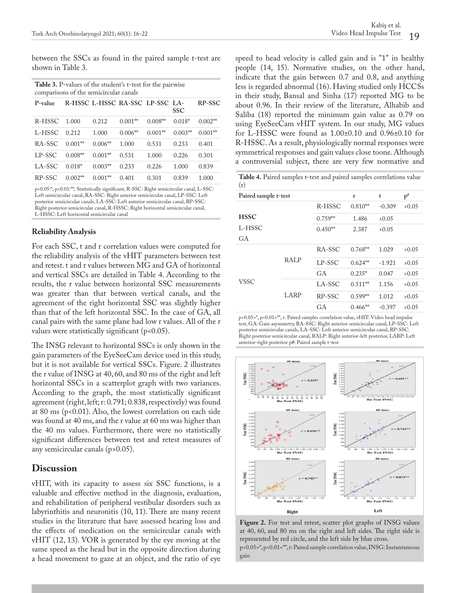between the SSCs as found in the paired sample t-test are shown in Table 3.

| Table 3. P-values of the student's t-test for the pairwise |  |
|------------------------------------------------------------|--|
| comparisons of the semicircular canals                     |  |

| P-value |           | R-HSSC L-HSSC RA-SSC LP-SSC LA- |           |           | <b>SSC</b> | <b>RP-SSC</b> |
|---------|-----------|---------------------------------|-----------|-----------|------------|---------------|
| R-HSSC  | 1.000     | 0.212                           | $0.001**$ | $0.008**$ | $0.018*$   | $0.002**$     |
| L-HSSC  | 0.212     | 1.000                           | $0.006**$ | $0.001**$ | $0.003**$  | $0.001**$     |
| RA-SSC  | $0.001**$ | $0.006**$                       | 1.000     | 0.531     | 0.233      | 0.401         |
| LP-SSC  | $0.008**$ | $0.001**$                       | 0.531     | 1.000     | 0.226      | 0.301         |
| LA-SSC  | $0.018*$  | $0.003**$                       | 0.233     | 0.226     | 1.000      | 0.839         |
| RP-SSC  | $0.002**$ | $0.001**$                       | 0.401     | 0.301     | 0.839      | 1.000         |

p<0.05:\*; p<0.01:\*\*; Statistically significant, R-SSC: Right semicircular canal, L-SSC: Left semicircular canal, RA-SSC: Right anterior semicircular canal, LP-SSC: Left posterior semicircular canals, LA-SSC: Left anterior semicircular canal, RP-SSC: Right posterior semicircular canal, R-HSSC: Right horizontal semicircular canal, L-HSSC: Left horizontal semicircular canal

#### **Reliability Analysis**

For each SSC, t and r correlation values were computed for the reliability analysis of the vHIT parameters between test and retest. t and r values between MG and GA of horizontal and vertical SSCs are detailed in Table 4. According to the results, the r value between horizontal SSC measurements was greater than that between vertical canals, and the agreement of the right horizontal SSC was slightly higher than that of the left horizontal SSC. In the case of GA, all canal pairs with the same plane had low r values. All of the r values were statistically significant  $(p<0.05)$ .

The INSG relevant to horizontal SSCs is only shown in the gain parameters of the EyeSeeCam device used in this study, but it is not available for vertical SSCs. Figure. 2 illustrates the r value of INSG at 40, 60, and 80 ms of the right and left horizontal SSCs in a scatterplot graph with two variances. According to the graph, the most statistically significant agreement (right, left; r: 0.791; 0.838, respectively) was found at 80 ms ( $p$ <0.01). Also, the lowest correlation on each side was found at 40 ms, and the r value at 60 ms was higher than the 40 ms values. Furthermore, there were no statistically significant differences between test and retest measures of any semicircular canals (p>0.05).

#### **Discussion**

vHIT, with its capacity to assess six SSC functions, is a valuable and effective method in the diagnosis, evaluation, and rehabilitation of peripheral vestibular disorders such as labyrinthitis and neuronitis (10, 11). There are many recent studies in the literature that have assessed hearing loss and the effects of medication on the semicircular canals with vHIT (12, 13). VOR is generated by the eye moving at the same speed as the head but in the opposite direction during a head movement to gaze at an object, and the ratio of eye

speed to head velocity is called gain and is "1" in healthy people (14, 15). Normative studies, on the other hand, indicate that the gain between 0.7 and 0.8, and anything less is regarded abnormal (16). Having studied only HCCSs in their study, Bansal and Sinha (17) reported MG to be about 0.96. In their review of the literature, Alhabib and Saliba (18) reported the minimum gain value as 0.79 on using EyeSeeCam vHIT system. In our study, MG values for L-HSSC were found as 1.00±0.10 and 0.96±0.10 for R-HSSC. As a result, physiologically normal responses were symmetrical responses and gain values close toone. Although a controversial subject, there are very few normative and

**Table 4.** Paired samples t-test and paired samples correlations value (r)

| Paired sample t-test        |             |           | r         | t        | $p^*$ |
|-----------------------------|-------------|-----------|-----------|----------|-------|
|                             |             | R-HSSC    | $0.810**$ | $-0.309$ | >0.05 |
| <b>HSSC</b><br>L-HSSC<br>GA |             | $0.759**$ | 1.486     | >0.05    |       |
|                             |             | $0.450**$ | 2.387     | >0.05    |       |
|                             |             |           |           |          |       |
|                             | <b>RALP</b> | RA-SSC    | $0.768**$ | 1.029    | >0.05 |
| <b>VSSC</b>                 |             | LP-SSC    | $0.624**$ | $-1.921$ | >0.05 |
|                             |             | GA        | $0.235*$  | 0.047    | >0.05 |
|                             | LARP        | LA-SSC    | $0.511**$ | 1.156    | >0.05 |
|                             |             | RP-SSC    | $0.599**$ | 1.012    | >0.05 |
|                             |             | <b>GA</b> | $0.466**$ | $-0.397$ | >0.05 |
|                             |             |           |           |          |       |

p<0.05=\*, p<0.01=\*\*, r: Paired samples correlation value, vHIT: Video head impulse test, GA: Gain asymmetry, RA-SSC: Right anterior semicircular canal, LP-SSC: Left posterior semicircular canals, LA-SSC: Left anterior semicircular canal, RP-SSC: Right posterior semicircular canal, RALP: Right anterior-left posterior, LARP: Left anterior-right posterior p#: Paired sample t-test



**Figure 2.** For test and retest, scatter plot graphs of INSG values at 40, 60, and 80 ms on the right and left sides. The right side is represented by red circle, and the left side by blue cross. p<0.05=\*, p<0.01=\*\*, r: Paired sample correlation value, INSG: Instantaneous gain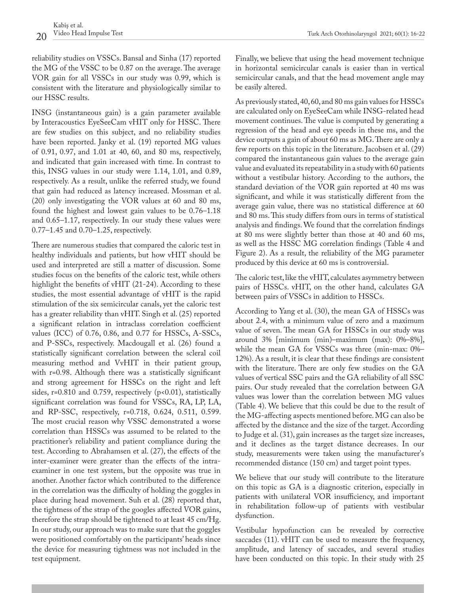reliability studies on VSSCs. Bansal and Sinha (17) reported the MG of the VSSC to be 0.87 on the average. The average VOR gain for all VSSCs in our study was 0.99, which is consistent with the literature and physiologically similar to our HSSC results.

INSG (instantaneous gain) is a gain parameter available by Interacoustics EyeSeeCam vHIT only for HSSC. There are few studies on this subject, and no reliability studies have been reported. Janky et al. (19) reported MG values of 0.91, 0.97, and 1.01 at 40, 60, and 80 ms, respectively, and indicated that gain increased with time. In contrast to this, INSG values in our study were 1.14, 1.01, and 0.89, respectively. As a result, unlike the referred study, we found that gain had reduced as latency increased. Mossman et al. (20) only investigating the VOR values at 60 and 80 ms, found the highest and lowest gain values to be 0.76–1.18 and 0.65–1.17, respectively. In our study these values were 0.77–1.45 and 0.70–1.25, respectively.

There are numerous studies that compared the caloric test in healthy individuals and patients, but how vHIT should be used and interpreted are still a matter of discussion. Some studies focus on the benefits of the caloric test, while others highlight the benefits of vHIT (21-24). According to these studies, the most essential advantage of vHIT is the rapid stimulation of the six semicircular canals, yet the caloric test has a greater reliability than vHIT. Singh et al. (25) reported a significant relation in intraclass correlation coefficient values (ICC) of 0.76, 0.86, and 0.77 for HSSCs, A-SSCs, and P-SSCs, respectively. Macdougall et al. (26) found a statistically significant correlation between the scleral coil measuring method and VvHIT in their patient group, with r=0.98. Although there was a statistically significant and strong agreement for HSSCs on the right and left sides,  $r=0.810$  and 0.759, respectively ( $p<0.01$ ), statistically significant correlation was found for VSSCs, RA, LP, LA, and RP-SSC, respectively, r=0.718, 0.624, 0.511, 0.599. The most crucial reason why VSSC demonstrated a worse correlation than HSSCs was assumed to be related to the practitioner's reliability and patient compliance during the test. According to Abrahamsen et al. (27), the effects of the inter-examiner were greater than the effects of the intraexaminer in one test system, but the opposite was true in another. Another factor which contributed to the difference in the correlation was the difficulty of holding the goggles in place during head movement. Suh et al. (28) reported that, the tightness of the strap of the googles affected VOR gains, therefore the strap should be tightened to at least 45 cm/Hg. In our study, our approach was to make sure that the goggles were positioned comfortably on the participants' heads since the device for measuring tightness was not included in the test equipment.

Finally, we believe that using the head movement technique in horizontal semicircular canals is easier than in vertical semicircular canals, and that the head movement angle may be easily altered.

As previously stated, 40, 60, and 80 ms gain values for HSSCs are calculated only on EyeSeeCam while INSG-related head movement continues. The value is computed by generating a regression of the head and eye speeds in these ms, and the device outputs a gain of about 60 ms as MG. There are only a few reports on this topic in the literature. Jacobsen et al. (29) compared the instantaneous gain values to the average gain value and evaluated its repeatability in a study with 60 patients without a vestibular history. According to the authors, the standard deviation of the VOR gain reported at 40 ms was significant, and while it was statistically different from the average gain value, there was no statistical difference at 60 and 80 ms. This study differs from ours in terms of statistical analysis and findings. We found that the correlation findings at 80 ms were slightly better than those at 40 and 60 ms, as well as the HSSC MG correlation findings (Table 4 and Figure 2). As a result, the reliability of the MG parameter produced by this device at 60 ms is controversial.

The caloric test, like the vHIT, calculates asymmetry between pairs of HSSCs. vHIT, on the other hand, calculates GA between pairs of VSSCs in addition to HSSCs.

According to Yang et al. (30), the mean GA of HSSCs was about 2.4, with a minimum value of zero and a maximum value of seven. The mean GA for HSSCs in our study was around 3% [minimum (min)–maximum (max): 0%–8%], while the mean GA for VSSCs was three (min-max: 0%– 12%). As a result, it is clear that these findings are consistent with the literature. There are only few studies on the GA values of vertical SSC pairs and the GA reliability of all SSC pairs. Our study revealed that the correlation between GA values was lower than the correlation between MG values (Table 4). We believe that this could be due to the result of the MG-affecting aspects mentioned before. MG can also be affected by the distance and the size of the target. According to Judge et al. (31), gain increases as the target size increases, and it declines as the target distance decreases. In our study, measurements were taken using the manufacturer's recommended distance (150 cm) and target point types.

We believe that our study will contribute to the literature on this topic as GA is a diagnostic criterion, especially in patients with unilateral VOR insufficiency, and important in rehabilitation follow-up of patients with vestibular dysfunction.

Vestibular hypofunction can be revealed by corrective saccades (11). vHIT can be used to measure the frequency, amplitude, and latency of saccades, and several studies have been conducted on this topic. In their study with 25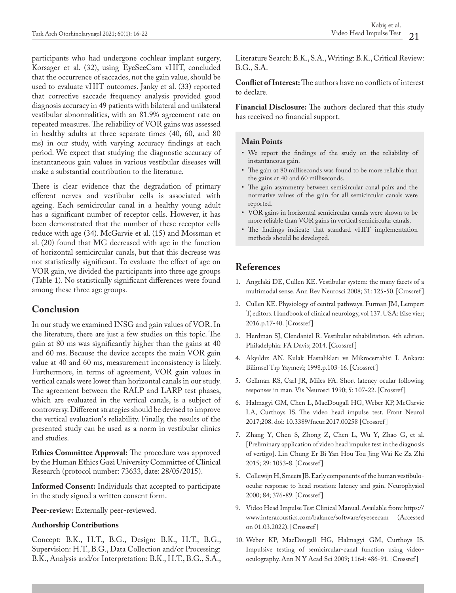participants who had undergone cochlear implant surgery, Korsager et al. (32), using EyeSeeCam vHIT, concluded that the occurrence of saccades, not the gain value, should be used to evaluate vHIT outcomes. Janky et al. (33) reported that corrective saccade frequency analysis provided good diagnosis accuracy in 49 patients with bilateral and unilateral vestibular abnormalities, with an 81.9% agreement rate on repeated measures. The reliability of VOR gains was assessed in healthy adults at three separate times (40, 60, and 80 ms) in our study, with varying accuracy findings at each period. We expect that studying the diagnostic accuracy of instantaneous gain values in various vestibular diseases will make a substantial contribution to the literature.

There is clear evidence that the degradation of primary efferent nerves and vestibular cells is associated with ageing. Each semicircular canal in a healthy young adult has a significant number of receptor cells. However, it has been demonstrated that the number of these receptor cells reduce with age (34). McGarvie et al. (15) and Mossman et al. (20) found that MG decreased with age in the function of horizontal semicircular canals, but that this decrease was not statistically significant. To evaluate the effect of age on VOR gain, we divided the participants into three age groups (Table 1). No statistically significant differences were found among these three age groups.

# **Conclusion**

In our study we examined INSG and gain values of VOR. In the literature, there are just a few studies on this topic. The gain at 80 ms was significantly higher than the gains at 40 and 60 ms. Because the device accepts the main VOR gain value at 40 and 60 ms, measurement inconsistency is likely. Furthermore, in terms of agreement, VOR gain values in vertical canals were lower than horizontal canals in our study. The agreement between the RALP and LARP test phases, which are evaluated in the vertical canals, is a subject of controversy. Different strategies should be devised to improve the vertical evaluation's reliability. Finally, the results of the presented study can be used as a norm in vestibular clinics and studies.

**Ethics Committee Approval:** The procedure was approved by the Human Ethics Gazi University Committee of Clinical Research (protocol number: 73633, date: 28/05/2015).

**Informed Consent:** Individuals that accepted to participate in the study signed a written consent form.

**Peer-review:** Externally peer-reviewed.

#### **Authorship Contributions**

Concept: B.K., H.T., B.G., Design: B.K., H.T., B.G., Supervision: H.T., B.G., Data Collection and/or Processing: B.K., Analysis and/or Interpretation: B.K., H.T., B.G., S.A.,

Literature Search: B.K., S.A., Writing: B.K., Critical Review: B.G., S.A.

**Conflict of Interest:** The authors have no conflicts of interest to declare.

**Financial Disclosure:** The authors declared that this study has received no financial support.

#### **Main Points**

- We report the findings of the study on the reliability of instantaneous gain.
- The gain at 80 milliseconds was found to be more reliable than the gains at 40 and 60 milliseconds.
- The gain asymmetry between semisircular canal pairs and the normative values of the gain for all semicircular canals were reported.
- VOR gains in horizontal semicircular canals were shown to be more reliable than VOR gains in vertical semicircular canals.
- The findings indicate that standard vHIT implementation methods should be developed.

## **References**

- 1. Angelaki DE, Cullen KE. Vestibular system: the many facets of a multimodal sense. Ann Rev Neurosci 2008; 31: 125-50. [\[Crossref \]](https://doi.org/10.1146/annurev.neuro.31.060407.125555)
- 2. Cullen KE. Physiology of central pathways. Furman JM, Lempert T, editors. Handbook of clinical neurology, vol 137. USA: Else vier; 2016.p.17-40. [Crossref ]
- 3. Herdman SJ, Clendaniel R. Vestibular rehabilitation. 4th edition. Philadelphia: FA Davis; 2014. [[Crossref \]](https://www.worldcat.org/title/vestibular-rehabilitation/oclc/885123823)
- 4. Akyıldız AN. Kulak Hastalıkları ve Mikrocerrahisi I. Ankara: Bilimsel Tıp Yayınevi; 1998.p.103-16. [Crossref ]
- 5. Gellman RS, Carl JR, Miles FA. Short latency ocular-following responses in man. Vis Neurosci 1990; 5: 107-22. [[Crossref](https://doi.org/10.1017/s0952523800000158) ]
- 6. Halmagyi GM, Chen L, MacDougall HG, Weber KP, McGarvie LA, Curthoys IS. The video head impulse test. Front Neurol 2017;208. doi: 10.3389/fneur.2017.00258 [[Crossref](https://doi.org/10.3389/fneur.2017.00258) ]
- 7. Zhang Y, Chen S, Zhong Z, Chen L, Wu Y, Zhao G, et al. [Preliminary application of video head impulse test in the diagnosis of vertigo]. Lin Chung Er Bi Yan Hou Tou Jing Wai Ke Za Zhi 2015; 29: 1053-8. [[Crossref \]](https://pubmed.ncbi.nlm.nih.gov/26513989/)
- 8. Collewijn H, Smeets JB. Early components of the human vestibuloocular response to head rotation: latency and gain. Neurophysiol 2000; 84; 376-89. [[Crossref](https://doi.org/10.1152/jn.2000.84.1.376) ]
- 9. Video Head Impulse Test Clinical Manual. Available from: https:// www.interacoustics.com/balance/software/eyeseecam (Accessed on 01.03.2022). [\[Crossref \]](https://www.interacoustics.com/balance/software/eyeseecam)
- 10. Weber KP, MacDougall HG, Halmagyi GM, Curthoys IS. Impulsive testing of semicircular-canal function using videooculography. Ann N Y Acad Sci 2009; 1164: 486-91. [\[Crossref \]](https://doi.org/10.1111/j.1749-6632.2008.03730.x)